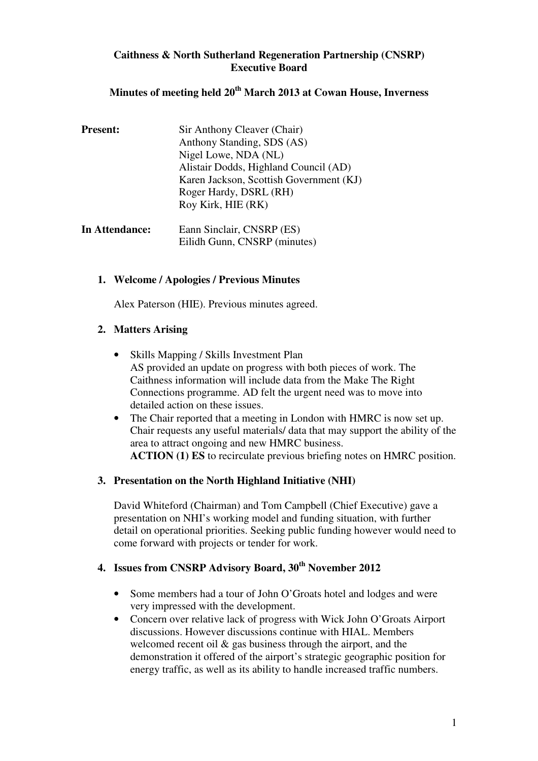## **Caithness & North Sutherland Regeneration Partnership (CNSRP) Executive Board**

## **Minutes of meeting held 20th March 2013 at Cowan House, Inverness**

| <b>Present:</b> | Sir Anthony Cleaver (Chair)             |
|-----------------|-----------------------------------------|
|                 | Anthony Standing, SDS (AS)              |
|                 | Nigel Lowe, NDA (NL)                    |
|                 | Alistair Dodds, Highland Council (AD)   |
|                 | Karen Jackson, Scottish Government (KJ) |
|                 | Roger Hardy, DSRL (RH)                  |
|                 | Roy Kirk, HIE (RK)                      |
|                 |                                         |

| In Attendance: | Eann Sinclair, CNSRP (ES)    |  |
|----------------|------------------------------|--|
|                | Eilidh Gunn, CNSRP (minutes) |  |

## **1. Welcome / Apologies / Previous Minutes**

Alex Paterson (HIE). Previous minutes agreed.

## **2. Matters Arising**

- Skills Mapping / Skills Investment Plan AS provided an update on progress with both pieces of work. The Caithness information will include data from the Make The Right Connections programme. AD felt the urgent need was to move into detailed action on these issues.
- The Chair reported that a meeting in London with HMRC is now set up. Chair requests any useful materials/ data that may support the ability of the area to attract ongoing and new HMRC business.  **ACTION (1) ES** to recirculate previous briefing notes on HMRC position.

## **3. Presentation on the North Highland Initiative (NHI)**

David Whiteford (Chairman) and Tom Campbell (Chief Executive) gave a presentation on NHI's working model and funding situation, with further detail on operational priorities. Seeking public funding however would need to come forward with projects or tender for work.

# **4. Issues from CNSRP Advisory Board, 30th November 2012**

- Some members had a tour of John O'Groats hotel and lodges and were very impressed with the development.
- Concern over relative lack of progress with Wick John O'Groats Airport discussions. However discussions continue with HIAL. Members welcomed recent oil  $\&$  gas business through the airport, and the demonstration it offered of the airport's strategic geographic position for energy traffic, as well as its ability to handle increased traffic numbers.